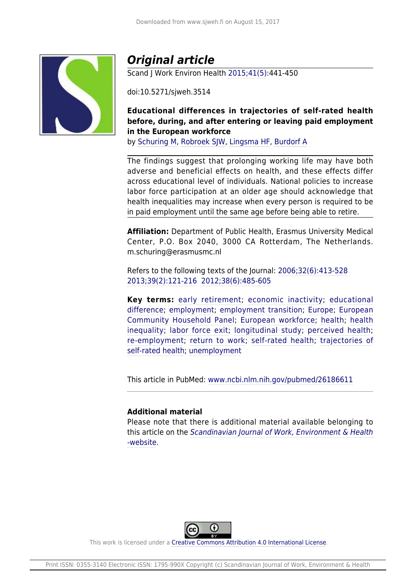

# *Original article*

Scand J Work Environ Health [2015;41\(5\):](http://www.sjweh.fi/show_issue.php?issue_id=313)441-450

doi:10.5271/sjweh.3514

## **Educational differences in trajectories of self-rated health before, during, and after entering or leaving paid employment in the European workforce**

by [Schuring M,](http://www.sjweh.fi/index.php?page=list-articles&author_id=7012) [Robroek SJW](http://www.sjweh.fi/index.php?page=list-articles&author_id=7008), [Lingsma HF,](http://www.sjweh.fi/index.php?page=list-articles&author_id=8097) [Burdorf A](http://www.sjweh.fi/index.php?page=list-articles&author_id=7)

The findings suggest that prolonging working life may have both adverse and beneficial effects on health, and these effects differ across educational level of individuals. National policies to increase labor force participation at an older age should acknowledge that health inequalities may increase when every person is required to be in paid employment until the same age before being able to retire.

**Affiliation:** Department of Public Health, Erasmus University Medical Center, P.O. Box 2040, 3000 CA Rotterdam, The Netherlands. m.schuring@erasmusmc.nl

Refers to the following texts of the Journal: [2006;32\(6\):413-528](http://www.sjweh.fi/show_abstract.php?abstract_id=1050) [2013;39\(2\):121-216](http://www.sjweh.fi/show_abstract.php?abstract_id=3321) [2012;38\(6\):485-605](http://www.sjweh.fi/show_abstract.php?abstract_id=3325)

**Key terms:** [early retirement;](http://www.sjweh.fi/index.php?page=list-articles&keyword_id=2251) [economic inactivity](http://www.sjweh.fi/index.php?page=list-articles&keyword_id=8176); [educational](http://www.sjweh.fi/index.php?page=list-articles&keyword_id=8115) [difference](http://www.sjweh.fi/index.php?page=list-articles&keyword_id=8115); [employment;](http://www.sjweh.fi/index.php?page=list-articles&keyword_id=1118) [employment transition](http://www.sjweh.fi/index.php?page=list-articles&keyword_id=8177); [Europe](http://www.sjweh.fi/index.php?page=list-articles&keyword_id=2872); [European](http://www.sjweh.fi/index.php?page=list-articles&keyword_id=8175) [Community Household Panel;](http://www.sjweh.fi/index.php?page=list-articles&keyword_id=8175) [European workforce;](http://www.sjweh.fi/index.php?page=list-articles&keyword_id=8174) [health;](http://www.sjweh.fi/index.php?page=list-articles&keyword_id=652) [health](http://www.sjweh.fi/index.php?page=list-articles&keyword_id=4764) [inequality](http://www.sjweh.fi/index.php?page=list-articles&keyword_id=4764); [labor force exit;](http://www.sjweh.fi/index.php?page=list-articles&keyword_id=7522) [longitudinal study;](http://www.sjweh.fi/index.php?page=list-articles&keyword_id=185) [perceived health;](http://www.sjweh.fi/index.php?page=list-articles&keyword_id=668) [re-employment](http://www.sjweh.fi/index.php?page=list-articles&keyword_id=7523); [return to work](http://www.sjweh.fi/index.php?page=list-articles&keyword_id=1123); [self-rated health;](http://www.sjweh.fi/index.php?page=list-articles&keyword_id=7772) [trajectories of](http://www.sjweh.fi/index.php?page=list-articles&keyword_id=8171) [self-rated health](http://www.sjweh.fi/index.php?page=list-articles&keyword_id=8171); [unemployment](http://www.sjweh.fi/index.php?page=list-articles&keyword_id=787)

This article in PubMed: [www.ncbi.nlm.nih.gov/pubmed/26186611](http://www.ncbi.nlm.nih.gov/pubmed/26186611)

## **Additional material**

Please note that there is additional material available belonging to this article on the [Scandinavian Journal of Work, Environment & Health](http://www.sjweh.fi/data_repository.php) [-website](http://www.sjweh.fi/data_repository.php).



This work is licensed under a [Creative Commons Attribution 4.0 International License.](http://creativecommons.org/licenses/by/4.0/)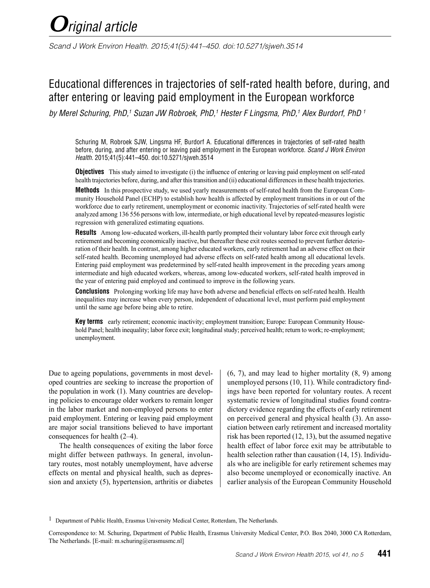*Scand J Work Environ Health. 2015;41(5):441–450. doi:10.5271/sjweh.3514*

## Educational differences in trajectories of self-rated health before, during, and after entering or leaving paid employment in the European workforce

*by Merel Schuring, PhD,1 Suzan JW Robroek, PhD,1 Hester F Lingsma, PhD,1 Alex Burdorf, PhD 1*

Schuring M, Robroek SJW, Lingsma HF, Burdorf A. Educational differences in trajectories of self-rated health before, during, and after entering or leaving paid employment in the European workforce. *Scand J Work Environ Health*. 2015;41(5):441–450. doi:10.5271/sjweh.3514

**Objectives** This study aimed to investigate (i) the influence of entering or leaving paid employment on self-rated health trajectories before, during, and after this transition and (ii) educational differences in these health trajectories.

**Methods** In this prospective study, we used yearly measurements of self-rated health from the European Community Household Panel (ECHP) to establish how health is affected by employment transitions in or out of the workforce due to early retirement, unemployment or economic inactivity. Trajectories of self-rated health were analyzed among 136 556 persons with low, intermediate, or high educational level by repeated-measures logistic regression with generalized estimating equations.

**Results** Among low-educated workers, ill-health partly prompted their voluntary labor force exit through early retirement and becoming economically inactive, but thereafter these exit routes seemed to prevent further deterioration of their health. In contrast, among higher educated workers, early retirement had an adverse effect on their self-rated health. Becoming unemployed had adverse effects on self-rated health among all educational levels. Entering paid employment was predetermined by self-rated health improvement in the preceding years among intermediate and high educated workers, whereas, among low-educated workers, self-rated health improved in the year of entering paid employed and continued to improve in the following years.

**Conclusions** Prolonging working life may have both adverse and beneficial effects on self-rated health. Health inequalities may increase when every person, independent of educational level, must perform paid employment until the same age before being able to retire.

**Key terms** early retirement; economic inactivity; employment transition; Europe: European Community Household Panel; health inequality; labor force exit; longitudinal study; perceived health; return to work; re-employment; unemployment.

Due to ageing populations, governments in most developed countries are seeking to increase the proportion of the population in work (1). Many countries are developing policies to encourage older workers to remain longer in the labor market and non-employed persons to enter paid employment. Entering or leaving paid employment are major social transitions believed to have important consequences for health (2–4).

The health consequences of exiting the labor force might differ between pathways. In general, involuntary routes, most notably unemployment, have adverse effects on mental and physical health, such as depression and anxiety (5), hypertension, arthritis or diabetes (6, 7), and may lead to higher mortality (8, 9) among unemployed persons (10, 11). While contradictory findings have been reported for voluntary routes. A recent systematic review of longitudinal studies found contradictory evidence regarding the effects of early retirement on perceived general and physical health (3). An association between early retirement and increased mortality risk has been reported (12, 13), but the assumed negative health effect of labor force exit may be attributable to health selection rather than causation (14, 15). Individuals who are ineligible for early retirement schemes may also become unemployed or economically inactive. An earlier analysis of the European Community Household

<sup>1</sup> Department of Public Health, Erasmus University Medical Center, Rotterdam, The Netherlands.

Correspondence to: M. Schuring, Department of Public Health, Erasmus University Medical Center, P.O. Box 2040, 3000 CA Rotterdam, The Netherlands. [E-mail: m.schuring@erasmusmc.nl]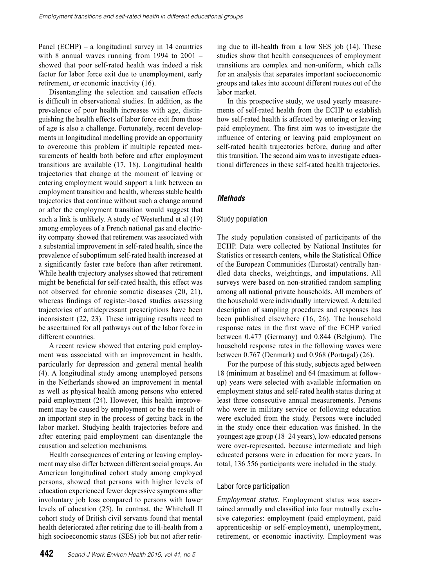Panel (ECHP) – a longitudinal survey in 14 countries with 8 annual waves running from 1994 to 2001 – showed that poor self-rated health was indeed a risk factor for labor force exit due to unemployment, early retirement, or economic inactivity (16).

Disentangling the selection and causation effects is difficult in observational studies. In addition, as the prevalence of poor health increases with age, distinguishing the health effects of labor force exit from those of age is also a challenge. Fortunately, recent developments in longitudinal modelling provide an opportunity to overcome this problem if multiple repeated measurements of health both before and after employment transitions are available (17, 18). Longitudinal health trajectories that change at the moment of leaving or entering employment would support a link between an employment transition and health, whereas stable health trajectories that continue without such a change around or after the employment transition would suggest that such a link is unlikely. A study of Westerlund et al (19) among employees of a French national gas and electricity company showed that retirement was associated with a substantial improvement in self-rated health, since the prevalence of suboptimum self-rated health increased at a significantly faster rate before than after retirement. While health trajectory analyses showed that retirement might be beneficial for self-rated health, this effect was not observed for chronic somatic diseases (20, 21), whereas findings of register-based studies assessing trajectories of antidepressant prescriptions have been inconsistent (22, 23). These intriguing results need to be ascertained for all pathways out of the labor force in different countries.

A recent review showed that entering paid employment was associated with an improvement in health, particularly for depression and general mental health (4). A longitudinal study among unemployed persons in the Netherlands showed an improvement in mental as well as physical health among persons who entered paid employment (24). However, this health improvement may be caused by employment or be the result of an important step in the process of getting back in the labor market. Studying health trajectories before and after entering paid employment can disentangle the causation and selection mechanisms.

Health consequences of entering or leaving employment may also differ between different social groups. An American longitudinal cohort study among employed persons, showed that persons with higher levels of education experienced fewer depressive symptoms after involuntary job loss compared to persons with lower levels of education (25). In contrast, the Whitehall II cohort study of British civil servants found that mental health deteriorated after retiring due to ill-health from a high socioeconomic status (SES) job but not after retir-

**442** *Scand J Work Environ Health 2015, vol 41, no 5*

ing due to ill-health from a low SES job (14). These studies show that health consequences of employment transitions are complex and non-uniform, which calls for an analysis that separates important socioeconomic groups and takes into account different routes out of the labor market.

In this prospective study, we used yearly measurements of self-rated health from the ECHP to establish how self-rated health is affected by entering or leaving paid employment. The first aim was to investigate the influence of entering or leaving paid employment on self-rated health trajectories before, during and after this transition. The second aim was to investigate educational differences in these self-rated health trajectories.

## *Methods*

### Study population

The study population consisted of participants of the ECHP. Data were collected by National Institutes for Statistics or research centers, while the Statistical Office of the European Communities (Eurostat) centrally handled data checks, weightings, and imputations. All surveys were based on non-stratified random sampling among all national private households. All members of the household were individually interviewed. A detailed description of sampling procedures and responses has been published elsewhere (16, 26). The household response rates in the first wave of the ECHP varied between 0.477 (Germany) and 0.844 (Belgium). The household response rates in the following waves were between 0.767 (Denmark) and 0.968 (Portugal) (26).

For the purpose of this study, subjects aged between 18 (minimum at baseline) and 64 (maximum at followup) years were selected with available information on employment status and self-rated health status during at least three consecutive annual measurements. Persons who were in military service or following education were excluded from the study. Persons were included in the study once their education was finished. In the youngest age group (18–24 years), low-educated persons were over-represented, because intermediate and high educated persons were in education for more years. In total, 136 556 participants were included in the study.

## Labor force participation

*Employment status.* Employment status was ascertained annually and classified into four mutually exclusive categories: employment (paid employment, paid apprenticeship or self-employment), unemployment, retirement, or economic inactivity. Employment was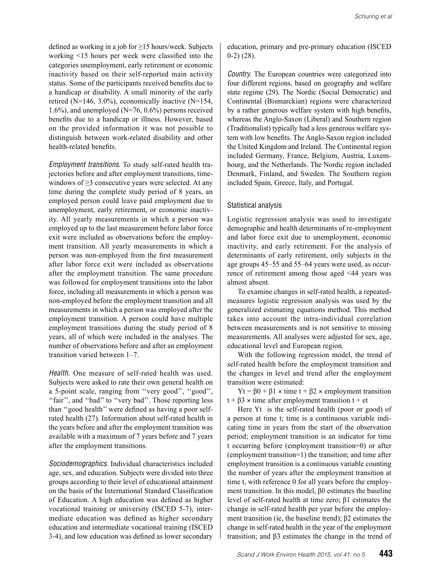defined as working in a job for ≥15 hours/week. Subjects working <15 hours per week were classified into the categories unemployment, early retirement or economic inactivity based on their self-reported main activity status. Some of the participants received benefits due to a handicap or disability. A small minority of the early retired (N=146, 3.0%), economically inactive  $(N=154)$ , 1.6%), and unemployed  $(N=76, 0.6\%)$  persons received benefits due to a handicap or illness. However, based on the provided information it was not possible to distinguish between work-related disability and other health-related benefits.

*Employment transitions.* To study self-rated health trajectories before and after employment transitions, timewindows of  $\geq$ 3 consecutive years were selected. At any time during the complete study period of 8 years, an employed person could leave paid employment due to unemployment, early retirement, or economic inactivity. All yearly measurements in which a person was employed up to the last measurement before labor force exit were included as observations before the employment transition. All yearly measurements in which a person was non-employed from the first measurement after labor force exit were included as observations after the employment transition. The same procedure was followed for employment transitions into the labor force, including all measurements in which a person was non-employed before the employment transition and all measurements in which a person was employed after the employment transition. A person could have multiple employment transitions during the study period of 8 years, all of which were included in the analyses. The number of observations before and after an employment transition varied between 1–7.

*Health*. One measure of self-rated health was used. Subjects were asked to rate their own general health on a 5-point scale, ranging from ''very good'', ''good'', "fair", and "bad" to "very bad". Those reporting less than ''good health'' were defined as having a poor selfrated health (27). Information about self-rated health in the years before and after the employment transition was available with a maximum of 7 years before and 7 years after the employment transitions.

*Sociodemographics*. Individual characteristics included age, sex, and education. Subjects were divided into three groups according to their level of educational attainment on the basis of the International Standard Classification of Education. A high education was defined as higher vocational training or university (ISCED 5-7), intermediate education was defined as higher secondary education and intermediate vocational training (ISCED 3-4), and low education was defined as lower secondary education, primary and pre-primary education (ISCED 0-2) (28).

*Country.* The European countries were categorized into four different regions, based on geography and welfare state regime (29). The Nordic (Social Democratic) and Continental (Bismarckian) regions were characterized by a rather generous welfare system with high benefits, whereas the Anglo-Saxon (Liberal) and Southern region (Traditionalist) typically had a less generous welfare system with low benefits. The Anglo-Saxon region included the United Kingdom and Ireland. The Continental region included Germany, France, Belgium, Austria, Luxembourg, and the Netherlands. The Nordic region included Denmark, Finland, and Sweden. The Southern region included Spain, Greece, Italy, and Portugal.

#### Statistical analysis

Logistic regression analysis was used to investigate demographic and health determinants of re-employment and labor force exit due to unemployment, economic inactivity, and early retirement. For the analysis of determinants of early retirement, only subjects in the age groups 45–55 and 55–64 years were used, as occurrence of retirement among those aged <44 years was almost absent.

To examine changes in self-rated health, a repeatedmeasures logistic regression analysis was used by the generalized estimating equations method. This method takes into account the intra-individual correlation between measurements and is not sensitive to missing measurements. All analyses were adjusted for sex, age, educational level and European region.

With the following regression model, the trend of self-rated health before the employment transition and the changes in level and trend after the employment transition were estimated:

Yt = β0 + β1 × time t + β2 × employment transition t +  $\beta$ 3 × time after employment transition t + et

Here Yt is the self-rated health (poor or good) of a person at time t; time is a continuous variable indicating time in years from the start of the observation period; employment transition is an indicator for time t occurring before (employment transition=0) or after (employment transition=1) the transition; and time after employment transition is a continuous variable counting the number of years after the employment transition at time t, with reference 0 for all years before the employment transition. In this model, β0 estimates the baseline level of self-rated health at time zero; β1 estimates the change in self-rated health per year before the employment transition (ie, the baseline trend); β2 estimates the change in self-rated health in the year of the employment transition; and β3 estimates the change in the trend of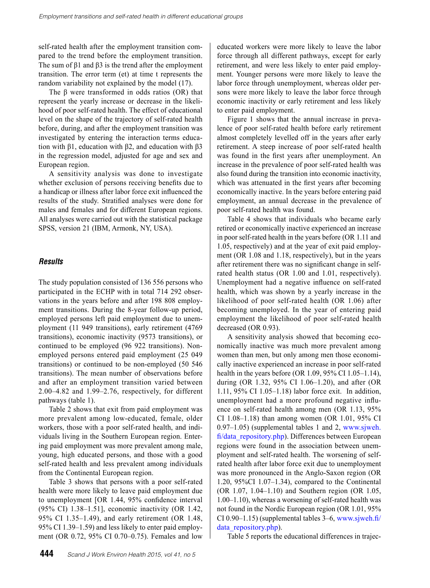self-rated health after the employment transition compared to the trend before the employment transition. The sum of  $\beta$ 1 and  $\beta$ 3 is the trend after the employment transition. The error term (et) at time t represents the random variability not explained by the model (17).

The β were transformed in odds ratios (OR) that represent the yearly increase or decrease in the likelihood of poor self-rated health. The effect of educational level on the shape of the trajectory of self-rated health before, during, and after the employment transition was investigated by entering the interaction terms education with β1, education with β2, and education with β3 in the regression model, adjusted for age and sex and European region.

A sensitivity analysis was done to investigate whether exclusion of persons receiving benefits due to a handicap or illness after labor force exit influenced the results of the study. Stratified analyses were done for males and females and for different European regions. All analyses were carried out with the statistical package SPSS, version 21 (IBM, Armonk, NY, USA).

#### *Results*

The study population consisted of 136 556 persons who participated in the ECHP with in total 714 292 observations in the years before and after 198 808 employment transitions. During the 8-year follow-up period, employed persons left paid employment due to unemployment (11 949 transitions), early retirement (4769 transitions), economic inactivity (9573 transitions), or continued to be employed (96 922 transitions). Nonemployed persons entered paid employment (25 049 transitions) or continued to be non-employed (50 546 transitions). The mean number of observations before and after an employment transition varied between 2.00–4.82 and 1.99–2.76, respectively, for different pathways (table 1).

Table 2 shows that exit from paid employment was more prevalent among low-educated, female, older workers, those with a poor self-rated health, and individuals living in the Southern European region. Entering paid employment was more prevalent among male, young, high educated persons, and those with a good self-rated health and less prevalent among individuals from the Continental European region.

Table 3 shows that persons with a poor self-rated health were more likely to leave paid employment due to unemployment [OR 1.44, 95% confidence interval (95% CI) 1.38–1.51], economic inactivity (OR 1.42, 95% CI 1.35–1.49), and early retirement (OR 1.48, 95% CI 1.39–1.59) and less likely to enter paid employment (OR 0.72, 95% CI 0.70–0.75). Females and low

educated workers were more likely to leave the labor force through all different pathways, except for early retirement, and were less likely to enter paid employment. Younger persons were more likely to leave the labor force through unemployment, whereas older persons were more likely to leave the labor force through economic inactivity or early retirement and less likely to enter paid employment.

Figure 1 shows that the annual increase in prevalence of poor self-rated health before early retirement almost completely levelled off in the years after early retirement. A steep increase of poor self-rated health was found in the first years after unemployment. An increase in the prevalence of poor self-rated health was also found during the transition into economic inactivity, which was attenuated in the first years after becoming economically inactive. In the years before entering paid employment, an annual decrease in the prevalence of poor self-rated health was found.

Table 4 shows that individuals who became early retired or economically inactive experienced an increase in poor self-rated health in the years before (OR 1.11 and 1.05, respectively) and at the year of exit paid employment (OR 1.08 and 1.18, respectively), but in the years after retirement there was no significant change in selfrated health status (OR 1.00 and 1.01, respectively). Unemployment had a negative influence on self-rated health, which was shown by a yearly increase in the likelihood of poor self-rated health (OR 1.06) after becoming unemployed. In the year of entering paid employment the likelihood of poor self-rated health decreased (OR 0.93).

A sensitivity analysis showed that becoming economically inactive was much more prevalent among women than men, but only among men those economically inactive experienced an increase in poor self-rated health in the years before (OR 1.09, 95% CI 1.05–1.14), during (OR 1.32, 95% CI 1.06–1.20), and after (OR 1.11, 95% CI 1.05–1.18) labor force exit. In addition, unemployment had a more profound negative influence on self-rated health among men (OR 1.13, 95% CI 1.08–1.18) than among women (OR 1.01, 95% CI 0.97–1.05) (supplemental tables 1 and 2, [www.sjweh.](http://www.sjweh.fi/data_repository.php) [fi/data\\_repository.php\)](http://www.sjweh.fi/data_repository.php). Differences between European regions were found in the association between unemployment and self-rated health. The worsening of selfrated health after labor force exit due to unemployment was more pronounced in the Anglo-Saxon region (OR 1.20, 95%CI 1.07–1.34), compared to the Continental (OR 1.07, 1.04–1.10) and Southern region (OR 1.05, 1.00–1.10), whereas a worsening of self-rated health was not found in the Nordic European region (OR 1.01, 95% CI 0.90–1.15) (supplemental tables 3–6, [www.sjweh.fi/](http://www.sjweh.fi/data_repository.php) [data\\_repository.php\)](http://www.sjweh.fi/data_repository.php).

Table 5 reports the educational differences in trajec-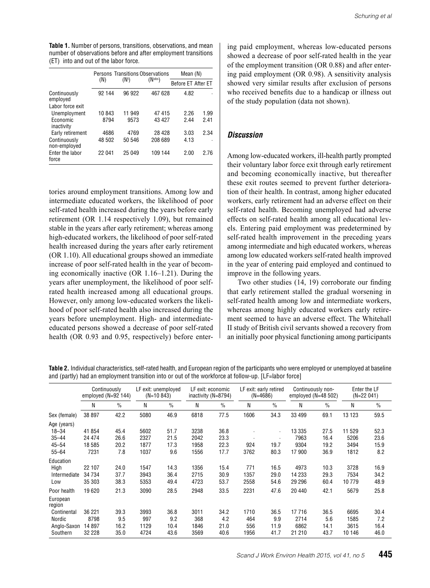**Table 1.** Number of persons, transitions, observations, and mean number of observations before and after employment transitions (ET) into and out of the labor force.

|                              | <b>Persons Transitions Observations</b> | Mean (N)          |             |                    |      |
|------------------------------|-----------------------------------------|-------------------|-------------|--------------------|------|
|                              | (N)                                     | (N <sup>t</sup> ) | $(N^{obs})$ | Before ET After ET |      |
| Continuously<br>employed     | 92 144                                  | 96 922            | 467 628     | 4.82               |      |
| Labor force exit             |                                         |                   |             |                    |      |
| Unemployment                 | 10843                                   | 11 949            | 47415       | 226                | 1.99 |
| Economic<br>inactivity       | 8794                                    | 9573              | 43 427      | 244                | 241  |
| Early retirement             | 4686                                    | 4769              | 28 4 28     | 3.03               | 2.34 |
| Continuously<br>non-employed | 48 502                                  | 50 546            | 208 689     | 4.13               |      |
| Enter the labor<br>force     | 22 041                                  | 25 049            | 109 144     | 2.00               | 276  |

tories around employment transitions. Among low and intermediate educated workers, the likelihood of poor self-rated health increased during the years before early retirement (OR 1.14 respectively 1.09), but remained stable in the years after early retirement; whereas among high-educated workers, the likelihood of poor self-rated health increased during the years after early retirement (OR 1.10). All educational groups showed an immediate increase of poor self-rated health in the year of becoming economically inactive (OR 1.16–1.21). During the years after unemployment, the likelihood of poor selfrated health increased among all educational groups. However, only among low-educated workers the likelihood of poor self-rated health also increased during the years before unemployment. High- and intermediateeducated persons showed a decrease of poor self-rated health (OR 0.93 and 0.95, respectively) before entering paid employment, whereas low-educated persons showed a decrease of poor self-rated health in the year of the employment transition (OR 0.88) and after entering paid employment (OR 0.98). A sensitivity analysis showed very similar results after exclusion of persons who received benefits due to a handicap or illness out of the study population (data not shown).

#### *Discussion*

Among low-educated workers, ill-health partly prompted their voluntary labor force exit through early retirement and becoming economically inactive, but thereafter these exit routes seemed to prevent further deterioration of their health. In contrast, among higher educated workers, early retirement had an adverse effect on their self-rated health. Becoming unemployed had adverse effects on self-rated health among all educational levels. Entering paid employment was predetermined by self-rated health improvement in the preceding years among intermediate and high educated workers, whereas among low educated workers self-rated health improved in the year of entering paid employed and continued to improve in the following years.

Two other studies (14, 19) corroborate our finding that early retirement stalled the gradual worsening in self-rated health among low and intermediate workers, whereas among highly educated workers early retirement seemed to have an adverse effect. The Whitehall II study of British civil servants showed a recovery from an initially poor physical functioning among participants

**Table 2.** Individual characteristics, self-rated health, and European region of the participants who were employed or unemployed at baseline and (partly) had an employment transition into or out of the workforce at follow-up. [LF=labor force]

|                                                                 |                                      | Continuously<br>employed $(N=92 144)$ | LF exit: unemployed<br>LF exit: economic<br>$(N=10 843)$<br>inactivity (N=8794) |                             |                              | LF exit: early retired<br>$(N=4686)$ |                            | Continuously non-<br>employed $(N=48 502)$ |                                   | Enter the LF<br>$(N=22041)$  |                                |                             |
|-----------------------------------------------------------------|--------------------------------------|---------------------------------------|---------------------------------------------------------------------------------|-----------------------------|------------------------------|--------------------------------------|----------------------------|--------------------------------------------|-----------------------------------|------------------------------|--------------------------------|-----------------------------|
|                                                                 | N                                    | $\frac{0}{0}$                         | N                                                                               | $\frac{0}{0}$               | N                            | $\%$                                 | N                          | $\frac{0}{0}$                              | N                                 | $\%$                         | N                              | $\frac{0}{0}$               |
| Sex (female)                                                    | 38 897                               | 42.2                                  | 5080                                                                            | 46.9                        | 6818                         | 77.5                                 | 1606                       | 34.3                                       | 33 499                            | 69.1                         | 13 123                         | 59.5                        |
| Age (years)<br>$18 - 34$<br>$35 - 44$<br>$45 - 54$<br>$55 - 64$ | 41 854<br>24 474<br>18 5 8 5<br>7231 | 45.4<br>26.6<br>20.2<br>7.8           | 5602<br>2327<br>1877<br>1037                                                    | 51.7<br>21.5<br>17.3<br>9.6 | 3238<br>2042<br>1958<br>1556 | 36.8<br>23.3<br>22.3<br>17.7         | 924<br>3762                | ٠<br>٠<br>19.7<br>80.3                     | 13 3 35<br>7963<br>9304<br>17 900 | 27.5<br>16.4<br>19.2<br>36.9 | 11 529<br>5206<br>3494<br>1812 | 52.3<br>23.6<br>15.9<br>8.2 |
| Education<br>High<br>Intermediate<br>Low                        | 22 107<br>34 734<br>35 303           | 24.0<br>37.7<br>38.3                  | 1547<br>3943<br>5353                                                            | 14.3<br>36.4<br>49.4        | 1356<br>2715<br>4723         | 15.4<br>30.9<br>53.7                 | 771<br>1357<br>2558        | 16.5<br>29.0<br>54.6                       | 4973<br>14 233<br>29 29 6         | 10.3<br>29.3<br>60.4         | 3728<br>7534<br>10779          | 16.9<br>34.2<br>48.9        |
| Poor health<br>European<br>region                               | 19620                                | 21.3                                  | 3090                                                                            | 28.5                        | 2948                         | 33.5                                 | 2231                       | 47.6                                       | 20 440                            | 42.1                         | 5679                           | 25.8                        |
| Continental<br>Nordic<br>Anglo-Saxon<br>Southern                | 36 221<br>8798<br>14 897<br>32 228   | 39.3<br>9.5<br>16.2<br>35.0           | 3993<br>997<br>1129<br>4724                                                     | 36.8<br>9.2<br>10.4<br>43.6 | 3011<br>368<br>1846<br>3569  | 34.2<br>4.2<br>21.0<br>40.6          | 1710<br>464<br>556<br>1956 | 36.5<br>9.9<br>11.9<br>41.7                | 17 716<br>2714<br>6862<br>21 210  | 36.5<br>5.6<br>14.1<br>43.7  | 6695<br>1585<br>3615<br>10 146 | 30.4<br>7.2<br>16.4<br>46.0 |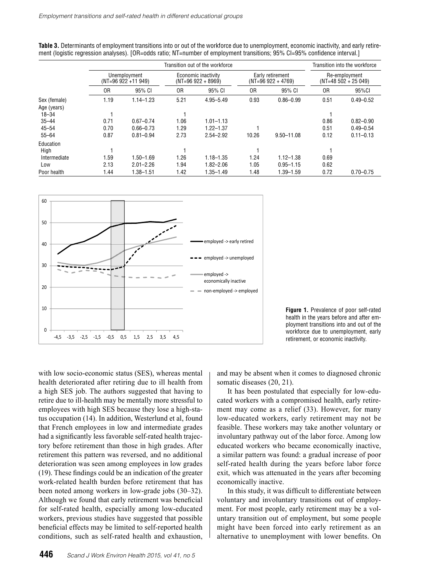|              |                                    | Transition into the workforce |                                            |               |                                         |                |                                       |               |
|--------------|------------------------------------|-------------------------------|--------------------------------------------|---------------|-----------------------------------------|----------------|---------------------------------------|---------------|
|              | Unemployment<br>$(NT=96922+11949)$ |                               | Economic inactivity<br>$(NT=96922 + 8969)$ |               | Early retirement<br>$(NT=96922 + 4769)$ |                | Re-employment<br>$(NT=48502 + 25049)$ |               |
|              | 0R                                 | 95% CI                        | 0R                                         | 95% CI        | 0R                                      | 95% CI         | 0 <sub>R</sub>                        | 95%CI         |
| Sex (female) | 1.19                               | $1.14 - 1.23$                 | 5.21                                       | $4.95 - 5.49$ | 0.93                                    | $0.86 - 0.99$  | 0.51                                  | $0.49 - 0.52$ |
| Age (years)  |                                    |                               |                                            |               |                                         |                |                                       |               |
| $18 - 34$    |                                    |                               |                                            |               |                                         |                |                                       |               |
| $35 - 44$    | 0.71                               | $0.67 - 0.74$                 | 1.06                                       | $1.01 - 1.13$ |                                         |                | 0.86                                  | $0.82 - 0.90$ |
| $45 - 54$    | 0.70                               | $0.66 - 0.73$                 | 1.29                                       | $1.22 - 1.37$ |                                         |                | 0.51                                  | $0.49 - 0.54$ |
| $55 - 64$    | 0.87                               | $0.81 - 0.94$                 | 2.73                                       | $2.54 - 2.92$ | 10.26                                   | $9.50 - 11.08$ | 0.12                                  | $0.11 - 0.13$ |
| Education    |                                    |                               |                                            |               |                                         |                |                                       |               |
| High         |                                    |                               |                                            |               |                                         |                |                                       |               |
| Intermediate | 1.59                               | $1.50 - 1.69$                 | 1.26                                       | $1.18 - 1.35$ | 1.24                                    | $1.12 - 1.38$  | 0.69                                  |               |
| Low          | 2.13                               | $2.01 - 2.26$                 | l.94                                       | $1.82 - 2.06$ | 1.05                                    | $0.95 - 1.15$  | 0.62                                  |               |
| Poor health  | l.44                               | $1.38 - 1.51$                 | 1.42                                       | $1.35 - 1.49$ | .48                                     | 1.39-1.59      | 0.72                                  | $0.70 - 0.75$ |

**Table 3.** Determinants of employment transitions into or out of the workforce due to unemployment, economic inactivity, and early retirement (logistic regression analyses). [OR=odds ratio; NT=number of employment transitions; 95% CI=95% confidence interval.]





with low socio-economic status (SES), whereas mental health deteriorated after retiring due to ill health from a high SES job. The authors suggested that having to retire due to ill-health may be mentally more stressful to employees with high SES because they lose a high-status occupation (14). In addition, Westerlund et al, found that French employees in low and intermediate grades had a significantly less favorable self-rated health trajectory before retirement than those in high grades. After retirement this pattern was reversed, and no additional deterioration was seen among employees in low grades (19). These findings could be an indication of the greater work-related health burden before retirement that has been noted among workers in low-grade jobs (30–32). Although we found that early retirement was beneficial for self-rated health, especially among low-educated workers, previous studies have suggested that possible beneficial effects may be limited to self-reported health conditions, such as self-rated health and exhaustion, and may be absent when it comes to diagnosed chronic somatic diseases (20, 21).

It has been postulated that especially for low-educated workers with a compromised health, early retirement may come as a relief (33). However, for many low-educated workers, early retirement may not be feasible. These workers may take another voluntary or involuntary pathway out of the labor force. Among low educated workers who became economically inactive, a similar pattern was found: a gradual increase of poor self-rated health during the years before labor force exit, which was attenuated in the years after becoming economically inactive.

In this study, it was difficult to differentiate between voluntary and involuntary transitions out of employment. For most people, early retirement may be a voluntary transition out of employment, but some people might have been forced into early retirement as an alternative to unemployment with lower benefits. On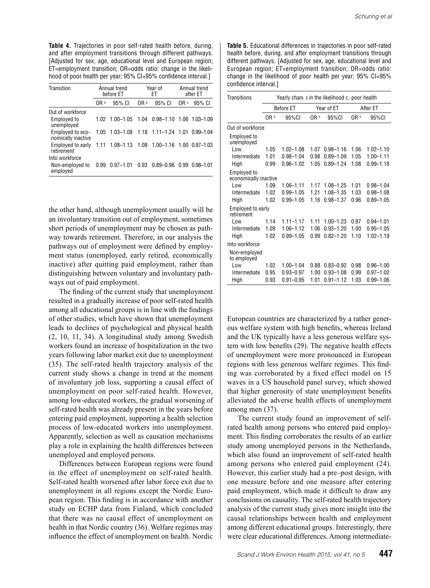**Table 4.** Trajectories in poor self-rated health before, during, and after employment transitions through different pathways. [Adjusted for sex, age, educational level and European region; ET=employment transition; OR=odds ratio: change in the likelihood of poor health per year; 95% CI=95% confidence interval.]

| Transition                                    |                 | Annual trend<br>before ET |                 | Year of<br>ЕT            | Annual trend<br>after ET |               |  |
|-----------------------------------------------|-----------------|---------------------------|-----------------|--------------------------|--------------------------|---------------|--|
|                                               | OR <sup>a</sup> | 95% CI                    | OR <sup>a</sup> | 95% CI                   | OR a                     | 95% CI        |  |
| Out of workforce                              |                 |                           |                 |                          |                          |               |  |
| Employed to<br>unemployed                     | 1.02            | $1.00 - 1.05$             | 1.04            | 0.98-1.10 1.06 1.03-1.09 |                          |               |  |
| Employed to eco-<br>nomically inactive        | 1.05            | $1.03 - 1.08$             |                 | $1.18$ 1.11-1.24 1.01    |                          | 0.99-1.04     |  |
| Employed to early<br>retirement               | 1.11            | $1.08 - 1.13$             | 1.08            | 1.00-1.16 1.00 0.97-1.03 |                          |               |  |
| Into workforce<br>Non-employed to<br>employed | 0.99            | $0.97 - 1.01$             | 0.93            | $0.89 - 0.96$            | 0.99                     | $0.98 - 1.01$ |  |

the other hand, although unemployment usually will be an involuntary transition out of employment, sometimes short periods of unemployment may be chosen as pathway towards retirement. Therefore, in our analysis the pathways out of employment were defined by employment status (unemployed, early retired, economically inactive) after quitting paid employment, rather than distinguishing between voluntary and involuntary pathways out of paid employment.

The finding of the current study that unemployment resulted in a gradually increase of poor self-rated health among all educational groups is in line with the findings of other studies, which have shown that unemployment leads to declines of psychological and physical health (2, 10, 11, 34). A longitudinal study among Swedish workers found an increase of hospitalization in the two years following labor market exit due to unemployment (35). The self-rated health trajectory analysis of the current study shows a change in trend at the moment of involuntary job loss, supporting a causal effect of unemployment on poor self-rated health. However, among low-educated workers, the gradual worsening of self-rated health was already present in the years before entering paid employment, supporting a health selection process of low-educated workers into unemployment. Apparently, selection as well as causation mechanisms play a role in explaining the health differences between unemployed and employed persons.

Differences between European regions were found in the effect of unemployment on self-rated health. Self-rated health worsened after labor force exit due to unemployment in all regions except the Nordic European region. This finding is in accordance with another study on ECHP data from Finland, which concluded that there was no causal effect of unemployment on health in that Nordic country (36). Welfare regimes may influence the effect of unemployment on health. Nordic **Table 5.** Educational differences in trajectories in poor self-rated health before, during, and after employment transitions through different pathways. [Adjusted for sex, age, educational level and European region; ET=employment transition; OR=odds ratio: change in the likelihood of poor health per year; 95% CI=95% confidence interval.]

| Transitions                          | Yearly changer in the likelihood c. poor health |               |                 |               |                 |               |  |
|--------------------------------------|-------------------------------------------------|---------------|-----------------|---------------|-----------------|---------------|--|
|                                      | <b>Before ET</b>                                |               |                 | Year of ET    | After ET        |               |  |
|                                      | OR a                                            | 95%CI         | OR <sup>a</sup> | 95%CI         | OR <sup>a</sup> | 95%CI         |  |
| Out of workforce                     |                                                 |               |                 |               |                 |               |  |
| <b>Employed to</b><br>unemployed     |                                                 |               |                 |               |                 |               |  |
| I ow                                 | 1.05                                            | $1.02 - 1.08$ | 1.07            | $0.98 - 1.16$ | 1.06            | $1.02 - 1.10$ |  |
| Intermediate                         | 1.01                                            | $0.98 - 1.04$ | 0.98            | $0.89 - 1.09$ | 1.05            | $1.00 - 1.11$ |  |
| High                                 | 0.99                                            | $0.96 - 1.02$ | 1.05            | $0.89 - 1.24$ | 1.08            | $0.99 - 1.18$ |  |
| Employed to<br>economically inactive |                                                 |               |                 |               |                 |               |  |
| l ow                                 | 1.09                                            | $1.06 - 1.11$ | 1.17            | $1.08 - 1.25$ | 1.01            | $0.98 - 1.04$ |  |
| Intermediate                         | 1.02                                            | $0.99 - 1.05$ | 1.21            | 1.08-1.35     | 1.03            | $0.98 - 1.08$ |  |
| High                                 | 1.02                                            | $0.99 - 1.05$ | 1.16            | $0.98 - 1.37$ | 0.96            | $0.89 - 1.05$ |  |
| Employed to early<br>retirement      |                                                 |               |                 |               |                 |               |  |
| l ow                                 | 1.14                                            | $1.11 - 1.17$ | 1 1 1           | $1.00 - 1.23$ | 0.97            | $0.94 - 1.01$ |  |
| Intermediate                         | 1.09                                            | $1.06 - 1.12$ | 1.06            | $0.93 - 1.20$ | 1.00            | $0.95 - 1.05$ |  |
| High                                 | 1.02                                            | $0.99 - 1.05$ | 0.99            | $0.82 - 1.20$ | 110             | $1.02 - 1.19$ |  |
| Into workforce                       |                                                 |               |                 |               |                 |               |  |
| Non-employed<br>to employed          |                                                 |               |                 |               |                 |               |  |
| Low                                  | 1.02                                            | $1.00 - 1.04$ | 0.88            | $0.83 - 0.92$ | 0.98            | $0.96 - 1.00$ |  |
| Intermediate                         | 0.95                                            | $0.93 - 0.97$ | 1.00            | $0.93 - 1.08$ | 0.99            | $0.97 - 1.02$ |  |
| High                                 | 0.93                                            | $0.91 - 0.95$ | 1.01            | $0.91 - 1.12$ | 1.03            | $0.99 - 1.06$ |  |

European countries are characterized by a rather generous welfare system with high benefits, whereas Ireland and the UK typically have a less generous welfare system with low benefits (29). The negative health effects of unemployment were more pronounced in European regions with less generous welfare regimes. This finding was corroborated by a fixed effect model on 15 waves in a US household panel survey, which showed that higher generosity of state unemployment benefits alleviated the adverse health effects of unemployment among men (37).

The current study found an improvement of selfrated health among persons who entered paid employment. This finding corroborates the results of an earlier study among unemployed persons in the Netherlands, which also found an improvement of self-rated health among persons who entered paid employment (24). However, this earlier study had a pre–post design, with one measure before and one measure after entering paid employment, which made it difficult to draw any conclusions on causality. The self-rated health trajectory analysis of the current study gives more insight into the causal relationships between health and employment among different educational groups. Interestingly, there were clear educational differences. Among intermediate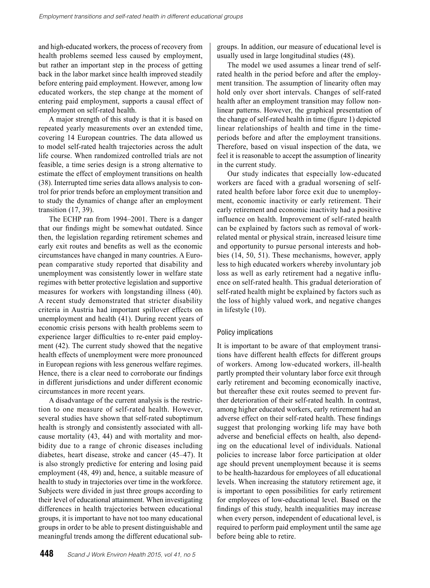and high-educated workers, the process of recovery from health problems seemed less caused by employment, but rather an important step in the process of getting back in the labor market since health improved steadily before entering paid employment. However, among low educated workers, the step change at the moment of entering paid employment, supports a causal effect of employment on self-rated health.

A major strength of this study is that it is based on repeated yearly measurements over an extended time, covering 14 European countries. The data allowed us to model self-rated health trajectories across the adult life course. When randomized controlled trials are not feasible, a time series design is a strong alternative to estimate the effect of employment transitions on health (38). Interrupted time series data allows analysis to control for prior trends before an employment transition and to study the dynamics of change after an employment transition (17, 39).

The ECHP ran from 1994–2001. There is a danger that our findings might be somewhat outdated. Since then, the legislation regarding retirement schemes and early exit routes and benefits as well as the economic circumstances have changed in many countries. A European comparative study reported that disability and unemployment was consistently lower in welfare state regimes with better protective legislation and supportive measures for workers with longstanding illness (40). A recent study demonstrated that stricter disability criteria in Austria had important spillover effects on unemployment and health (41). During recent years of economic crisis persons with health problems seem to experience larger difficulties to re-enter paid employment (42). The current study showed that the negative health effects of unemployment were more pronounced in European regions with less generous welfare regimes. Hence, there is a clear need to corroborate our findings in different jurisdictions and under different economic circumstances in more recent years.

A disadvantage of the current analysis is the restriction to one measure of self-rated health. However, several studies have shown that self-rated suboptimum health is strongly and consistently associated with allcause mortality (43, 44) and with mortality and morbidity due to a range of chronic diseases including diabetes, heart disease, stroke and cancer (45–47). It is also strongly predictive for entering and losing paid employment (48, 49) and, hence, a suitable measure of health to study in trajectories over time in the workforce. Subjects were divided in just three groups according to their level of educational attainment. When investigating differences in health trajectories between educational groups, it is important to have not too many educational groups in order to be able to present distinguishable and meaningful trends among the different educational sub-

groups. In addition, our measure of educational level is usually used in large longitudinal studies (48).

The model we used assumes a linear trend of selfrated health in the period before and after the employment transition. The assumption of linearity often may hold only over short intervals. Changes of self-rated health after an employment transition may follow nonlinear patterns. However, the graphical presentation of the change of self-rated health in time (figure 1) depicted linear relationships of health and time in the timeperiods before and after the employment transitions. Therefore, based on visual inspection of the data, we feel it is reasonable to accept the assumption of linearity in the current study.

Our study indicates that especially low-educated workers are faced with a gradual worsening of selfrated health before labor force exit due to unemployment, economic inactivity or early retirement. Their early retirement and economic inactivity had a positive influence on health. Improvement of self-rated health can be explained by factors such as removal of workrelated mental or physical strain, increased leisure time and opportunity to pursue personal interests and hobbies (14, 50, 51). These mechanisms, however, apply less to high educated workers whereby involuntary job loss as well as early retirement had a negative influence on self-rated health. This gradual deterioration of self-rated health might be explained by factors such as the loss of highly valued work, and negative changes in lifestyle (10).

#### Policy implications

It is important to be aware of that employment transitions have different health effects for different groups of workers. Among low-educated workers, ill-health partly prompted their voluntary labor force exit through early retirement and becoming economically inactive, but thereafter these exit routes seemed to prevent further deterioration of their self-rated health. In contrast, among higher educated workers, early retirement had an adverse effect on their self-rated health. These findings suggest that prolonging working life may have both adverse and beneficial effects on health, also depending on the educational level of individuals. National policies to increase labor force participation at older age should prevent unemployment because it is seems to be health-hazardous for employees of all educational levels. When increasing the statutory retirement age, it is important to open possibilities for early retirement for employees of low-educational level. Based on the findings of this study, health inequalities may increase when every person, independent of educational level, is required to perform paid employment until the same age before being able to retire.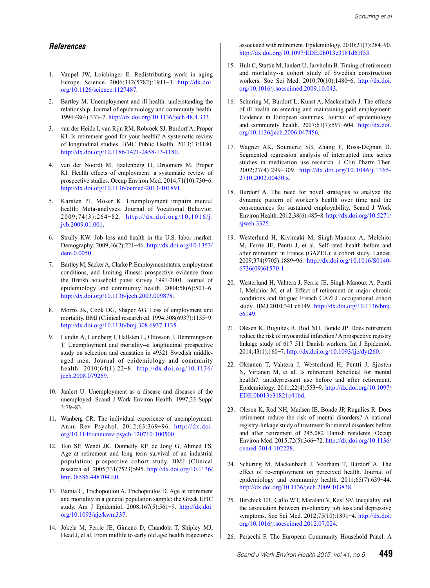#### *References*

- 1. Vaupel JW, Loichinger E. Redistributing work in aging Europe. Science. 2006;312(5782):1911–3. [http://dx.doi.](http://dx.doi.org/10.1126/science.1127487) [org/10.1126/science.1127487](http://dx.doi.org/10.1126/science.1127487).
- 2. Bartley M. Unemployment and ill health: understanding the relationship. Journal of epidemiology and community health. 1994;48(4):333–7. [http://dx.doi.org/10.1136/jech.48.4.333.](http://dx.doi.org/10.1136/jech.48.4.333)
- 3. van der Heide I, van Rijn RM, Robroek SJ, Burdorf A, Proper KI. Is retirement good for your health? A systematic review of longitudinal studies. BMC Public Health. 2013;13:1180. [http://dx.doi.org/10.1186/1471-2458-13-1180.](http://dx.doi.org/10.1186/1471-2458-13-1180)
- 4. van der Noordt M, Ijzelenberg H, Droomers M, Proper KI. Health effects of employment: a systematic review of prospective studies. Occup Environ Med. 2014;71(10):730–6. [http://dx.doi.org/10.1136/oemed-2013-101891.](http://dx.doi.org/10.1136/oemed-2013-101891)
- 5. Karsten PI, Moser K. Unemployment impairs mental health: Meta-analyses. Journal of Vocational Behavior. 2009;74(3):264–82. [http://dx.doi.org/10.1016/j.](http://dx.doi.org/10.1016/j.jvb.2009.01.001) [jvb.2009.01.001](http://dx.doi.org/10.1016/j.jvb.2009.01.001).
- 6. Strully KW. Job loss and health in the U.S. labor market. Demography. 2009;46(2):221–46. [http://dx.doi.org/10.1353/](http://dx.doi.org/10.1353/dem.0.0050) [dem.0.0050.](http://dx.doi.org/10.1353/dem.0.0050)
- 7. Bartley M, Sacker A, Clarke P. Employment status, employment conditions, and limiting illness: prospective evidence from the British household panel survey 1991-2001. Journal of epidemiology and community health. 2004;58(6):501–6. [http://dx.doi.org/10.1136/jech.2003.009878.](http://dx.doi.org/10.1136/jech.2003.009878)
- 8. Morris JK, Cook DG, Shaper AG. Loss of employment and mortality. BMJ (Clinical research ed. 1994;308(6937):1135–9. [http://dx.doi.org/10.1136/bmj.308.6937.1135.](http://dx.doi.org/10.1136/bmj.308.6937.1135)
- 9. Lundin A, Lundberg I, Hallsten L, Ottosson J, Hemmingsson T. Unemployment and mortality--a longitudinal prospective study on selection and causation in 49321 Swedish middleaged men. Journal of epidemiology and community health. 2010;64(1):22–8. [http://dx.doi.org/10.1136/](http://dx.doi.org/10.1136/jech.2008.079269) [jech.2008.079269.](http://dx.doi.org/10.1136/jech.2008.079269)
- 10. Janlert U. Unemployment as a disease and diseases of the unemployed. Scand J Work Environ Health. 1997;23 Suppl 3:79–83.
- 11. Wanberg CR. The individual experience of unemployment. Annu Rev Psychol. 2012;63:369–96. [http://dx.doi.](http://dx.doi.org/10.1146/annurev-psych-120710-100500) [org/10.1146/annurev-psych-120710-100500.](http://dx.doi.org/10.1146/annurev-psych-120710-100500)
- 12. Tsai SP, Wendt JK, Donnelly RP, de Jong G, Ahmed FS. Age at retirement and long term survival of an industrial population: prospective cohort study. BMJ (Clinical research ed. 2005;331(7523):995. [http://dx.doi.org/10.1136/](http://dx.doi.org/10.1136/bmj.38586.448704.E0) [bmj.38586.448704.E0](http://dx.doi.org/10.1136/bmj.38586.448704.E0).
- 13. Bamia C, Trichopoulou A, Trichopoulos D. Age at retirement and mortality in a general population sample: the Greek EPIC study. Am J Epidemiol. 2008;167(5):561–9. [http://dx.doi.](http://dx.doi.org/10.1093/aje/kwm337) [org/10.1093/aje/kwm337](http://dx.doi.org/10.1093/aje/kwm337).
- 14. Jokela M, Ferrie JE, Gimeno D, Chandola T, Shipley MJ, Head J, et al. From midlife to early old age: health trajectories

associated with retirement. Epidemiology. 2010;21(3):284–90. <http://dx.doi.org/10.1097/EDE.0b013e3181d61f53>.

- 15. Hult C, Stattin M, Janlert U, Jarvholm B. Timing of retirement and mortality--a cohort study of Swedish construction workers. Soc Sci Med. 2010;70(10):1480–6. [http://dx.doi.](http://dx.doi.org/10.1016/j.socscimed.2009.10.043) [org/10.1016/j.socscimed.2009.10.043](http://dx.doi.org/10.1016/j.socscimed.2009.10.043).
- 16. Schuring M, Burdorf L, Kunst A, Mackenbach J. The effects of ill health on entering and maintaining paid employment: Evidence in European countries. Journal of epidemiology and community health. 2007;61(7):597–604. [http://dx.doi.](http://dx.doi.org/10.1136/jech.2006.047456) [org/10.1136/jech.2006.047456](http://dx.doi.org/10.1136/jech.2006.047456).
- 17. Wagner AK, Soumerai SB, Zhang F, Ross-Degnan D. Segmented regression analysis of interrupted time series studies in medication use research. J Clin Pharm Ther. 2002;27(4):299–309. [http://dx.doi.org/10.1046/j.1365-](http://dx.doi.org/10.1046/j.1365-2710.2002.00430.x) [2710.2002.00430.x](http://dx.doi.org/10.1046/j.1365-2710.2002.00430.x).
- 18. Burdorf A. The need for novel strategies to analyze the dynamic pattern of worker's health over time and the consequences for sustained employability. Scand J Work Environ Health. 2012;38(6):485–8. [http://dx.doi.org/10.5271/](http://dx.doi.org/10.5271/sjweh.3325) [sjweh.3325](http://dx.doi.org/10.5271/sjweh.3325).
- 19. Westerlund H, Kivimaki M, Singh-Manoux A, Melchior M, Ferrie JE, Pentti J, et al. Self-rated health before and after retirement in France (GAZEL): a cohort study. Lancet. 2009;374(9705):1889–96. [http://dx.doi.org/10.1016/S0140-](http://dx.doi.org/10.1016/S0140-6736(09)61570-1) [6736\(09\)61570-1.](http://dx.doi.org/10.1016/S0140-6736(09)61570-1)
- 20. Westerlund H, Vahtera J, Ferrie JE, Singh-Manoux A, Pentti J, Melchior M, et al. Effect of retirement on major chronic conditions and fatigue: French GAZEL occupational cohort study. BMJ.2010;341:c6149. [http://dx.doi.org/10.1136/bmj.](http://dx.doi.org/10.1136/bmj.c6149) [c6149](http://dx.doi.org/10.1136/bmj.c6149).
- 21. Olesen K, Rugulies R, Rod NH, Bonde JP. Does retirement reduce the risk of myocardial infarction? A prospective registry linkage study of 617 511 Danish workers. Int J Epidemiol. 2014;43(1):160–7.<http://dx.doi.org/10.1093/ije/dyt260>.
- 22. Oksanen T, Vahtera J, Westerlund H, Pentti J, Sjosten N, Virtanen M, et al. Is retirement beneficial for mental health?: antidepressant use before and after retirement. Epidemiology. 2011;22(4):553–9. [http://dx.doi.org/10.1097/](http://dx.doi.org/10.1097/EDE.0b013e31821c41bd) [EDE.0b013e31821c41bd.](http://dx.doi.org/10.1097/EDE.0b013e31821c41bd)
- 23. Olesen K, Rod NH, Madsen IE, Bonde JP, Rugulies R. Does retirement reduce the risk of mental disorders? A national registry-linkage study of treatment for mental disorders before and after retirement of 245,082 Danish residents. Occup Environ Med. 2015;72(5):366–72. [http://dx.doi.org/10.1136/](http://dx.doi.org/10.1136/oemed-2014-102228) [oemed-2014-102228](http://dx.doi.org/10.1136/oemed-2014-102228).
- 24. Schuring M, Mackenbach J, Voorham T, Burdorf A. The effect of re-employment on perceived health. Journal of epidemiology and community health. 2011;65(7):639–44. <http://dx.doi.org/10.1136/jech.2009.103838>.
- 25. Berchick ER, Gallo WT, Maralani V, Kasl SV. Inequality and the association between involuntary job loss and depressive symptoms. Soc Sci Med. 2012;75(10):1891–4. [http://dx.doi.](http://dx.doi.org/10.1016/j.socscimed.2012.07.024) [org/10.1016/j.socscimed.2012.07.024](http://dx.doi.org/10.1016/j.socscimed.2012.07.024).
- 26. Peracchi F. The European Community Household Panel: A